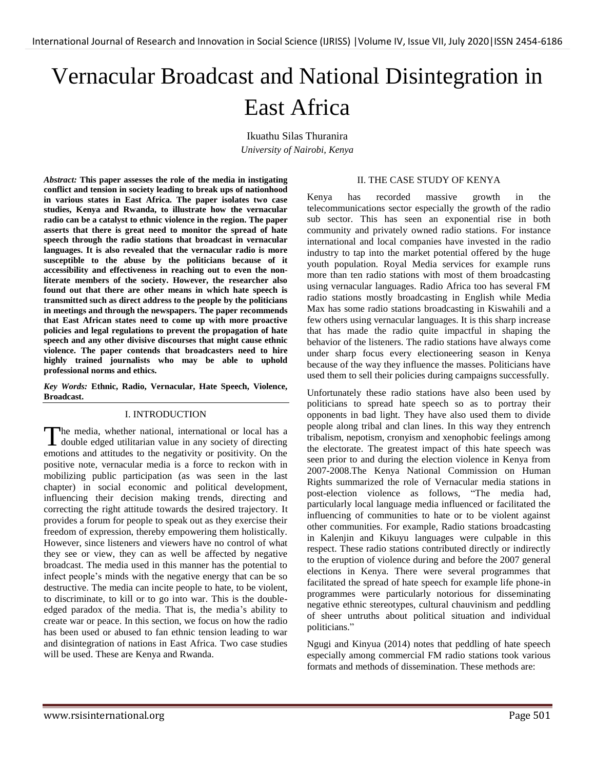# Vernacular Broadcast and National Disintegration in East Africa

Ikuathu Silas Thuranira *University of Nairobi, Kenya*

*Abstract:* **This paper assesses the role of the media in instigating conflict and tension in society leading to break ups of nationhood in various states in East Africa. The paper isolates two case studies, Kenya and Rwanda, to illustrate how the vernacular radio can be a catalyst to ethnic violence in the region. The paper asserts that there is great need to monitor the spread of hate speech through the radio stations that broadcast in vernacular languages. It is also revealed that the vernacular radio is more susceptible to the abuse by the politicians because of it accessibility and effectiveness in reaching out to even the nonliterate members of the society. However, the researcher also found out that there are other means in which hate speech is transmitted such as direct address to the people by the politicians in meetings and through the newspapers. The paper recommends that East African states need to come up with more proactive policies and legal regulations to prevent the propagation of hate speech and any other divisive discourses that might cause ethnic violence. The paper contends that broadcasters need to hire highly trained journalists who may be able to uphold professional norms and ethics.**

*Key Words:* **Ethnic, Radio, Vernacular, Hate Speech, Violence, Broadcast.**

#### I. INTRODUCTION

he media, whether national, international or local has a The media, whether national, international or local has a double edged utilitarian value in any society of directing emotions and attitudes to the negativity or positivity. On the positive note, vernacular media is a force to reckon with in mobilizing public participation (as was seen in the last chapter) in social economic and political development, influencing their decision making trends, directing and correcting the right attitude towards the desired trajectory. It provides a forum for people to speak out as they exercise their freedom of expression, thereby empowering them holistically. However, since listeners and viewers have no control of what they see or view, they can as well be affected by negative broadcast. The media used in this manner has the potential to infect people"s minds with the negative energy that can be so destructive. The media can incite people to hate, to be violent, to discriminate, to kill or to go into war. This is the doubleedged paradox of the media. That is, the media"s ability to create war or peace. In this section, we focus on how the radio has been used or abused to fan ethnic tension leading to war and disintegration of nations in East Africa. Two case studies will be used. These are Kenya and Rwanda.

#### II. THE CASE STUDY OF KENYA

Kenya has recorded massive growth in the telecommunications sector especially the growth of the radio sub sector. This has seen an exponential rise in both community and privately owned radio stations. For instance international and local companies have invested in the radio industry to tap into the market potential offered by the huge youth population. Royal Media services for example runs more than ten radio stations with most of them broadcasting using vernacular languages. Radio Africa too has several FM radio stations mostly broadcasting in English while Media Max has some radio stations broadcasting in Kiswahili and a few others using vernacular languages. It is this sharp increase that has made the radio quite impactful in shaping the behavior of the listeners. The radio stations have always come under sharp focus every electioneering season in Kenya because of the way they influence the masses. Politicians have used them to sell their policies during campaigns successfully.

Unfortunately these radio stations have also been used by politicians to spread hate speech so as to portray their opponents in bad light. They have also used them to divide people along tribal and clan lines. In this way they entrench tribalism, nepotism, cronyism and xenophobic feelings among the electorate. The greatest impact of this hate speech was seen prior to and during the election violence in Kenya from 2007-2008.The Kenya National Commission on Human Rights summarized the role of Vernacular media stations in post-election violence as follows, "The media had, particularly local language media influenced or facilitated the influencing of communities to hate or to be violent against other communities. For example, Radio stations broadcasting in Kalenjin and Kikuyu languages were culpable in this respect. These radio stations contributed directly or indirectly to the eruption of violence during and before the 2007 general elections in Kenya. There were several programmes that facilitated the spread of hate speech for example life phone-in programmes were particularly notorious for disseminating negative ethnic stereotypes, cultural chauvinism and peddling of sheer untruths about political situation and individual politicians."

Ngugi and Kinyua (2014) notes that peddling of hate speech especially among commercial FM radio stations took various formats and methods of dissemination. These methods are: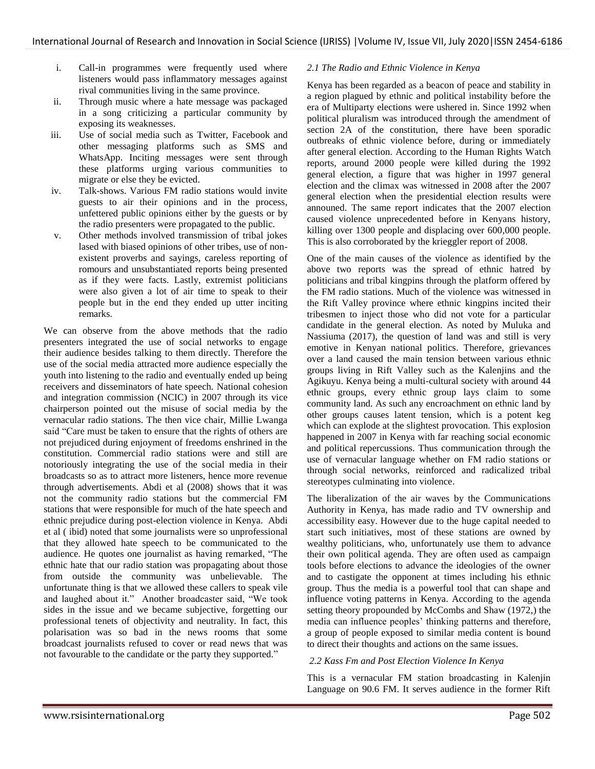- i. Call-in programmes were frequently used where listeners would pass inflammatory messages against rival communities living in the same province.
- ii. Through music where a hate message was packaged in a song criticizing a particular community by exposing its weaknesses.
- iii. Use of social media such as Twitter, Facebook and other messaging platforms such as SMS and WhatsApp. Inciting messages were sent through these platforms urging various communities to migrate or else they be evicted.
- iv. Talk-shows. Various FM radio stations would invite guests to air their opinions and in the process, unfettered public opinions either by the guests or by the radio presenters were propagated to the public.
- v. Other methods involved transmission of tribal jokes lased with biased opinions of other tribes, use of nonexistent proverbs and sayings, careless reporting of romours and unsubstantiated reports being presented as if they were facts. Lastly, extremist politicians were also given a lot of air time to speak to their people but in the end they ended up utter inciting remarks.

We can observe from the above methods that the radio presenters integrated the use of social networks to engage their audience besides talking to them directly. Therefore the use of the social media attracted more audience especially the youth into listening to the radio and eventually ended up being receivers and disseminators of hate speech. National cohesion and integration commission (NCIC) in 2007 through its vice chairperson pointed out the misuse of social media by the vernacular radio stations. The then vice chair, Millie Lwanga said "Care must be taken to ensure that the rights of others are not prejudiced during enjoyment of freedoms enshrined in the constitution. Commercial radio stations were and still are notoriously integrating the use of the social media in their broadcasts so as to attract more listeners, hence more revenue through advertisements. Abdi et al (2008) shows that it was not the community radio stations but the commercial FM stations that were responsible for much of the hate speech and ethnic prejudice during post-election violence in Kenya. Abdi et al ( ibid) noted that some journalists were so unprofessional that they allowed hate speech to be communicated to the audience. He quotes one journalist as having remarked, "The ethnic hate that our radio station was propagating about those from outside the community was unbelievable. The unfortunate thing is that we allowed these callers to speak vile and laughed about it." Another broadcaster said, "We took sides in the issue and we became subjective, forgetting our professional tenets of objectivity and neutrality. In fact, this polarisation was so bad in the news rooms that some broadcast journalists refused to cover or read news that was not favourable to the candidate or the party they supported."

## *2.1 The Radio and Ethnic Violence in Kenya*

Kenya has been regarded as a beacon of peace and stability in a region plagued by ethnic and political instability before the era of Multiparty elections were ushered in. Since 1992 when political pluralism was introduced through the amendment of section 2A of the constitution, there have been sporadic outbreaks of ethnic violence before, during or immediately after general election. According to the Human Rights Watch reports, around 2000 people were killed during the 1992 general election, a figure that was higher in 1997 general election and the climax was witnessed in 2008 after the 2007 general election when the presidential election results were announed. The same report indicates that the 2007 election caused violence unprecedented before in Kenyans history, killing over 1300 people and displacing over 600,000 people. This is also corroborated by the krieggler report of 2008.

One of the main causes of the violence as identified by the above two reports was the spread of ethnic hatred by politicians and tribal kingpins through the platform offered by the FM radio stations. Much of the violence was witnessed in the Rift Valley province where ethnic kingpins incited their tribesmen to inject those who did not vote for a particular candidate in the general election. As noted by Muluka and Nassiuma (2017), the question of land was and still is very emotive in Kenyan national politics. Therefore, grievances over a land caused the main tension between various ethnic groups living in Rift Valley such as the Kalenjins and the Agikuyu. Kenya being a multi-cultural society with around 44 ethnic groups, every ethnic group lays claim to some community land. As such any encroachment on ethnic land by other groups causes latent tension, which is a potent keg which can explode at the slightest provocation. This explosion happened in 2007 in Kenya with far reaching social economic and political repercussions. Thus communication through the use of vernacular language whether on FM radio stations or through social networks, reinforced and radicalized tribal stereotypes culminating into violence.

The liberalization of the air waves by the Communications Authority in Kenya, has made radio and TV ownership and accessibility easy. However due to the huge capital needed to start such initiatives, most of these stations are owned by wealthy politicians, who, unfortunately use them to advance their own political agenda. They are often used as campaign tools before elections to advance the ideologies of the owner and to castigate the opponent at times including his ethnic group. Thus the media is a powerful tool that can shape and influence voting patterns in Kenya. According to the agenda setting theory propounded by McCombs and Shaw (1972,) the media can influence peoples' thinking patterns and therefore, a group of people exposed to similar media content is bound to direct their thoughts and actions on the same issues.

#### *2.2 Kass Fm and Post Election Violence In Kenya*

This is a vernacular FM station broadcasting in Kalenjin Language on 90.6 FM. It serves audience in the former Rift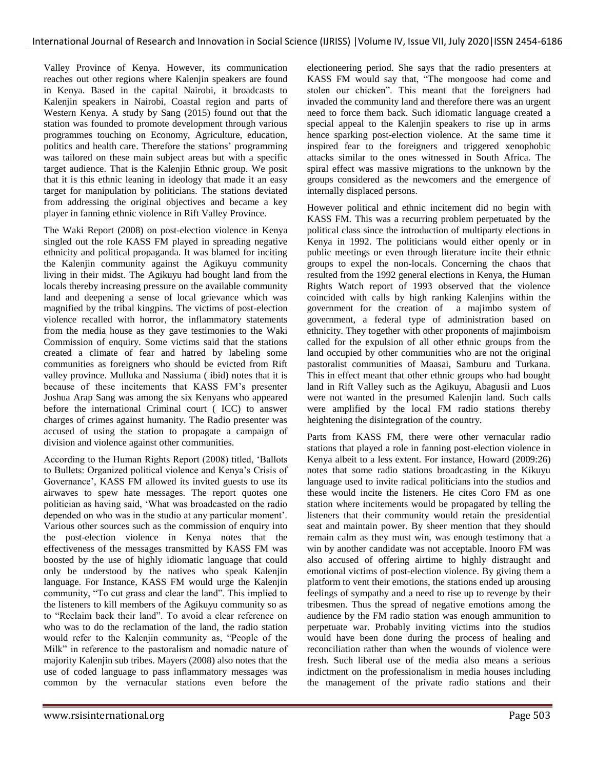Valley Province of Kenya. However, its communication reaches out other regions where Kalenjin speakers are found in Kenya. Based in the capital Nairobi, it broadcasts to Kalenjin speakers in Nairobi, Coastal region and parts of Western Kenya. A study by Sang (2015) found out that the station was founded to promote development through various programmes touching on Economy, Agriculture, education, politics and health care. Therefore the stations" programming was tailored on these main subject areas but with a specific target audience. That is the Kalenjin Ethnic group. We posit that it is this ethnic leaning in ideology that made it an easy target for manipulation by politicians. The stations deviated from addressing the original objectives and became a key player in fanning ethnic violence in Rift Valley Province.

The Waki Report (2008) on post-election violence in Kenya singled out the role KASS FM played in spreading negative ethnicity and political propaganda. It was blamed for inciting the Kalenjin community against the Agikuyu community living in their midst. The Agikuyu had bought land from the locals thereby increasing pressure on the available community land and deepening a sense of local grievance which was magnified by the tribal kingpins. The victims of post-election violence recalled with horror, the inflammatory statements from the media house as they gave testimonies to the Waki Commission of enquiry. Some victims said that the stations created a climate of fear and hatred by labeling some communities as foreigners who should be evicted from Rift valley province. Mulluka and Nassiuma ( ibid) notes that it is because of these incitements that KASS FM"s presenter Joshua Arap Sang was among the six Kenyans who appeared before the international Criminal court ( ICC) to answer charges of crimes against humanity. The Radio presenter was accused of using the station to propagate a campaign of division and violence against other communities.

According to the Human Rights Report (2008) titled, "Ballots to Bullets: Organized political violence and Kenya"s Crisis of Governance", KASS FM allowed its invited guests to use its airwaves to spew hate messages. The report quotes one politician as having said, "What was broadcasted on the radio depended on who was in the studio at any particular moment'. Various other sources such as the commission of enquiry into the post-election violence in Kenya notes that the effectiveness of the messages transmitted by KASS FM was boosted by the use of highly idiomatic language that could only be understood by the natives who speak Kalenjin language. For Instance, KASS FM would urge the Kalenjin community, "To cut grass and clear the land". This implied to the listeners to kill members of the Agikuyu community so as to "Reclaim back their land". To avoid a clear reference on who was to do the reclamation of the land, the radio station would refer to the Kalenjin community as, "People of the Milk" in reference to the pastoralism and nomadic nature of majority Kalenjin sub tribes. Mayers (2008) also notes that the use of coded language to pass inflammatory messages was common by the vernacular stations even before the electioneering period. She says that the radio presenters at KASS FM would say that, "The mongoose had come and stolen our chicken". This meant that the foreigners had invaded the community land and therefore there was an urgent need to force them back. Such idiomatic language created a special appeal to the Kalenjin speakers to rise up in arms hence sparking post-election violence. At the same time it inspired fear to the foreigners and triggered xenophobic attacks similar to the ones witnessed in South Africa. The spiral effect was massive migrations to the unknown by the groups considered as the newcomers and the emergence of internally displaced persons.

However political and ethnic incitement did no begin with KASS FM. This was a recurring problem perpetuated by the political class since the introduction of multiparty elections in Kenya in 1992. The politicians would either openly or in public meetings or even through literature incite their ethnic groups to expel the non-locals. Concerning the chaos that resulted from the 1992 general elections in Kenya, the Human Rights Watch report of 1993 observed that the violence coincided with calls by high ranking Kalenjins within the government for the creation of a majimbo system of government, a federal type of administration based on ethnicity. They together with other proponents of majimboism called for the expulsion of all other ethnic groups from the land occupied by other communities who are not the original pastoralist communities of Maasai, Samburu and Turkana. This in effect meant that other ethnic groups who had bought land in Rift Valley such as the Agikuyu, Abagusii and Luos were not wanted in the presumed Kalenjin land. Such calls were amplified by the local FM radio stations thereby heightening the disintegration of the country.

Parts from KASS FM, there were other vernacular radio stations that played a role in fanning post-election violence in Kenya albeit to a less extent. For instance, Howard (2009:26) notes that some radio stations broadcasting in the Kikuyu language used to invite radical politicians into the studios and these would incite the listeners. He cites Coro FM as one station where incitements would be propagated by telling the listeners that their community would retain the presidential seat and maintain power. By sheer mention that they should remain calm as they must win, was enough testimony that a win by another candidate was not acceptable. Inooro FM was also accused of offering airtime to highly distraught and emotional victims of post-election violence. By giving them a platform to vent their emotions, the stations ended up arousing feelings of sympathy and a need to rise up to revenge by their tribesmen. Thus the spread of negative emotions among the audience by the FM radio station was enough ammunition to perpetuate war. Probably inviting victims into the studios would have been done during the process of healing and reconciliation rather than when the wounds of violence were fresh. Such liberal use of the media also means a serious indictment on the professionalism in media houses including the management of the private radio stations and their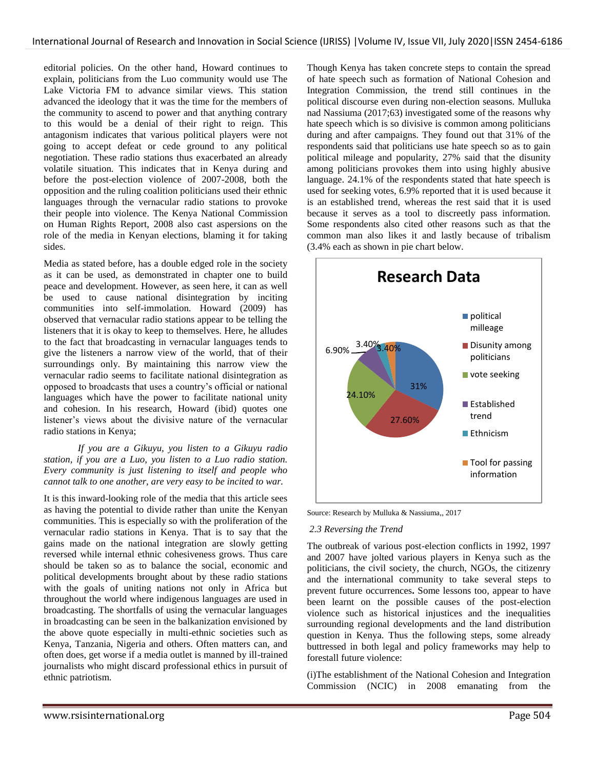editorial policies. On the other hand, Howard continues to explain, politicians from the Luo community would use The Lake Victoria FM to advance similar views. This station advanced the ideology that it was the time for the members of the community to ascend to power and that anything contrary to this would be a denial of their right to reign. This antagonism indicates that various political players were not going to accept defeat or cede ground to any political negotiation. These radio stations thus exacerbated an already volatile situation. This indicates that in Kenya during and before the post-election violence of 2007-2008, both the opposition and the ruling coalition politicians used their ethnic languages through the vernacular radio stations to provoke their people into violence. The Kenya National Commission on Human Rights Report, 2008 also cast aspersions on the role of the media in Kenyan elections, blaming it for taking sides.

Media as stated before, has a double edged role in the society as it can be used, as demonstrated in chapter one to build peace and development. However, as seen here, it can as well be used to cause national disintegration by inciting communities into self-immolation. Howard (2009) has observed that vernacular radio stations appear to be telling the listeners that it is okay to keep to themselves. Here, he alludes to the fact that broadcasting in vernacular languages tends to give the listeners a narrow view of the world, that of their surroundings only. By maintaining this narrow view the vernacular radio seems to facilitate national disintegration as opposed to broadcasts that uses a country"s official or national languages which have the power to facilitate national unity and cohesion. In his research, Howard (ibid) quotes one listener"s views about the divisive nature of the vernacular radio stations in Kenya;

 *If you are a Gikuyu, you listen to a Gikuyu radio station, if you are a Luo, you listen to a Luo radio station. Every community is just listening to itself and people who cannot talk to one another, are very easy to be incited to war.*

It is this inward-looking role of the media that this article sees as having the potential to divide rather than unite the Kenyan communities. This is especially so with the proliferation of the vernacular radio stations in Kenya. That is to say that the gains made on the national integration are slowly getting reversed while internal ethnic cohesiveness grows. Thus care should be taken so as to balance the social, economic and political developments brought about by these radio stations with the goals of uniting nations not only in Africa but throughout the world where indigenous languages are used in broadcasting. The shortfalls of using the vernacular languages in broadcasting can be seen in the balkanization envisioned by the above quote especially in multi-ethnic societies such as Kenya, Tanzania, Nigeria and others. Often matters can, and often does, get worse if a media outlet is manned by ill-trained journalists who might discard professional ethics in pursuit of ethnic patriotism.

Though Kenya has taken concrete steps to contain the spread of hate speech such as formation of National Cohesion and Integration Commission, the trend still continues in the political discourse even during non-election seasons. Mulluka nad Nassiuma (2017;63) investigated some of the reasons why hate speech which is so divisive is common among politicians during and after campaigns. They found out that 31% of the respondents said that politicians use hate speech so as to gain political mileage and popularity, 27% said that the disunity among politicians provokes them into using highly abusive language. 24.1% of the respondents stated that hate speech is used for seeking votes, 6.9% reported that it is used because it is an established trend, whereas the rest said that it is used because it serves as a tool to discreetly pass information. Some respondents also cited other reasons such as that the common man also likes it and lastly because of tribalism (3.4% each as shown in pie chart below.



Source: Research by Mulluka & Nassiuma,, 2017

#### *2.3 Reversing the Trend*

The outbreak of various post-election conflicts in 1992, 1997 and 2007 have jolted various players in Kenya such as the politicians, the civil society, the church, NGOs, the citizenry and the international community to take several steps to prevent future occurrences**.** Some lessons too, appear to have been learnt on the possible causes of the post-election violence such as historical injustices and the inequalities surrounding regional developments and the land distribution question in Kenya. Thus the following steps, some already buttressed in both legal and policy frameworks may help to forestall future violence:

(i)The establishment of the National Cohesion and Integration Commission (NCIC) in 2008 emanating from the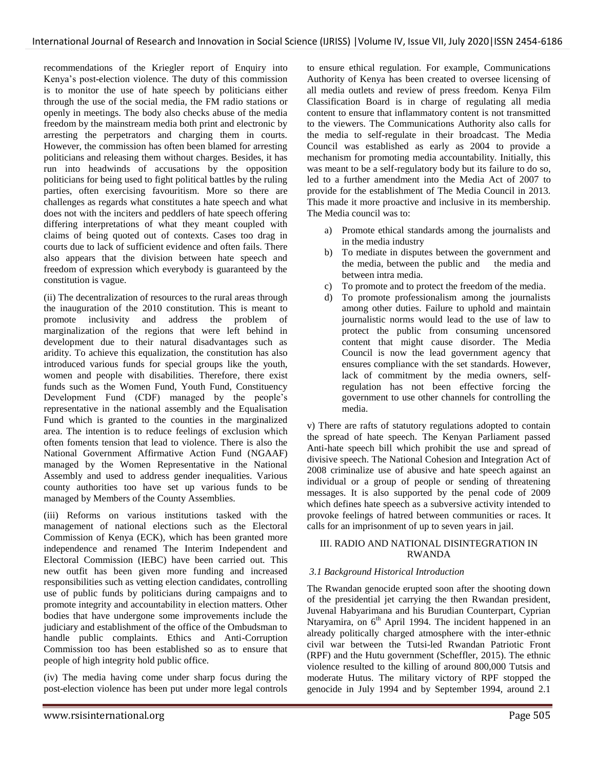recommendations of the Kriegler report of Enquiry into Kenya"s post-election violence. The duty of this commission is to monitor the use of hate speech by politicians either through the use of the social media, the FM radio stations or openly in meetings. The body also checks abuse of the media freedom by the mainstream media both print and electronic by arresting the perpetrators and charging them in courts. However, the commission has often been blamed for arresting politicians and releasing them without charges. Besides, it has run into headwinds of accusations by the opposition politicians for being used to fight political battles by the ruling parties, often exercising favouritism. More so there are challenges as regards what constitutes a hate speech and what does not with the inciters and peddlers of hate speech offering differing interpretations of what they meant coupled with claims of being quoted out of contexts. Cases too drag in courts due to lack of sufficient evidence and often fails. There also appears that the division between hate speech and freedom of expression which everybody is guaranteed by the constitution is vague.

(ii) The decentralization of resources to the rural areas through the inauguration of the 2010 constitution. This is meant to promote inclusivity and address the problem of marginalization of the regions that were left behind in development due to their natural disadvantages such as aridity. To achieve this equalization, the constitution has also introduced various funds for special groups like the youth, women and people with disabilities. Therefore, there exist funds such as the Women Fund, Youth Fund, Constituency Development Fund (CDF) managed by the people"s representative in the national assembly and the Equalisation Fund which is granted to the counties in the marginalized area. The intention is to reduce feelings of exclusion which often foments tension that lead to violence. There is also the National Government Affirmative Action Fund (NGAAF) managed by the Women Representative in the National Assembly and used to address gender inequalities. Various county authorities too have set up various funds to be managed by Members of the County Assemblies.

(iii) Reforms on various institutions tasked with the management of national elections such as the Electoral Commission of Kenya (ECK), which has been granted more independence and renamed The Interim Independent and Electoral Commission (IEBC) have been carried out. This new outfit has been given more funding and increased responsibilities such as vetting election candidates, controlling use of public funds by politicians during campaigns and to promote integrity and accountability in election matters. Other bodies that have undergone some improvements include the judiciary and establishment of the office of the Ombudsman to handle public complaints. Ethics and Anti-Corruption Commission too has been established so as to ensure that people of high integrity hold public office.

(iv) The media having come under sharp focus during the post-election violence has been put under more legal controls to ensure ethical regulation. For example, Communications Authority of Kenya has been created to oversee licensing of all media outlets and review of press freedom. Kenya Film Classification Board is in charge of regulating all media content to ensure that inflammatory content is not transmitted to the viewers. The Communications Authority also calls for the media to self-regulate in their broadcast. The Media Council was established as early as 2004 to provide a mechanism for promoting media accountability. Initially, this was meant to be a self-regulatory body but its failure to do so, led to a further amendment into the Media Act of 2007 to provide for the establishment of The Media Council in 2013. This made it more proactive and inclusive in its membership. The Media council was to:

- a) Promote ethical standards among the journalists and in the media industry
- b) To mediate in disputes between the government and the media, between the public and the media and between intra media.
- c) To promote and to protect the freedom of the media.
- d) To promote professionalism among the journalists among other duties. Failure to uphold and maintain journalistic norms would lead to the use of law to protect the public from consuming uncensored content that might cause disorder. The Media Council is now the lead government agency that ensures compliance with the set standards. However, lack of commitment by the media owners, selfregulation has not been effective forcing the government to use other channels for controlling the media.

v) There are rafts of statutory regulations adopted to contain the spread of hate speech. The Kenyan Parliament passed Anti-hate speech bill which prohibit the use and spread of divisive speech. The National Cohesion and Integration Act of 2008 criminalize use of abusive and hate speech against an individual or a group of people or sending of threatening messages. It is also supported by the penal code of 2009 which defines hate speech as a subversive activity intended to provoke feelings of hatred between communities or races. It calls for an imprisonment of up to seven years in jail.

## III. RADIO AND NATIONAL DISINTEGRATION IN RWANDA

# *3.1 Background Historical Introduction*

The Rwandan genocide erupted soon after the shooting down of the presidential jet carrying the then Rwandan president, Juvenal Habyarimana and his Burudian Counterpart, Cyprian Ntaryamira, on  $6<sup>th</sup>$  April 1994. The incident happened in an already politically charged atmosphere with the inter-ethnic civil war between the Tutsi-led Rwandan Patriotic Front (RPF) and the Hutu government (Scheffler, 2015). The ethnic violence resulted to the killing of around 800,000 Tutsis and moderate Hutus. The military victory of RPF stopped the genocide in July 1994 and by September 1994, around 2.1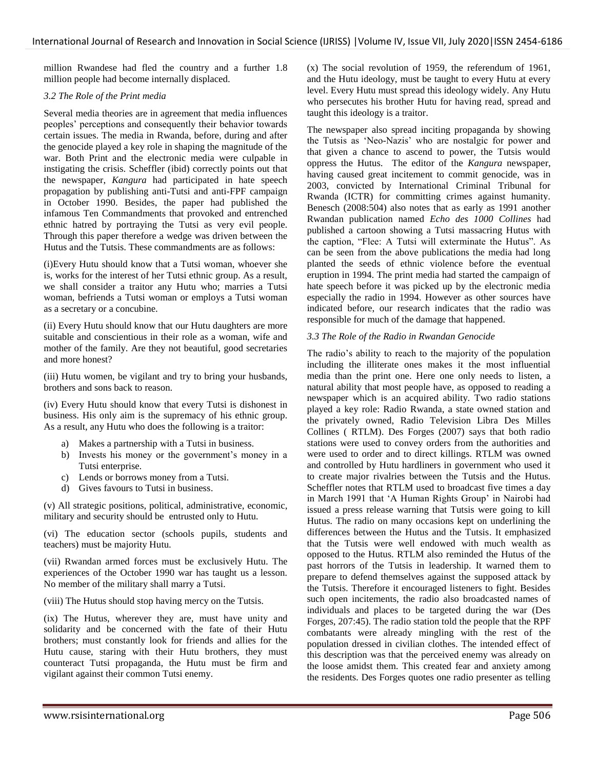million Rwandese had fled the country and a further 1.8 million people had become internally displaced.

## *3.2 The Role of the Print media*

Several media theories are in agreement that media influences peoples" perceptions and consequently their behavior towards certain issues. The media in Rwanda, before, during and after the genocide played a key role in shaping the magnitude of the war. Both Print and the electronic media were culpable in instigating the crisis. Scheffler (ibid) correctly points out that the newspaper, *Kangura* had participated in hate speech propagation by publishing anti-Tutsi and anti-FPF campaign in October 1990. Besides, the paper had published the infamous Ten Commandments that provoked and entrenched ethnic hatred by portraying the Tutsi as very evil people. Through this paper therefore a wedge was driven between the Hutus and the Tutsis. These commandments are as follows:

(i)Every Hutu should know that a Tutsi woman, whoever she is, works for the interest of her Tutsi ethnic group. As a result, we shall consider a traitor any Hutu who; marries a Tutsi woman, befriends a Tutsi woman or employs a Tutsi woman as a secretary or a concubine.

(ii) Every Hutu should know that our Hutu daughters are more suitable and conscientious in their role as a woman, wife and mother of the family. Are they not beautiful, good secretaries and more honest?

(iii) Hutu women, be vigilant and try to bring your husbands, brothers and sons back to reason.

(iv) Every Hutu should know that every Tutsi is dishonest in business. His only aim is the supremacy of his ethnic group. As a result, any Hutu who does the following is a traitor:

- a) Makes a partnership with a Tutsi in business.
- b) Invests his money or the government's money in a Tutsi enterprise.
- c) Lends or borrows money from a Tutsi.
- d) Gives favours to Tutsi in business.

(v) All strategic positions, political, administrative, economic, military and security should be entrusted only to Hutu.

(vi) The education sector (schools pupils, students and teachers) must be majority Hutu.

(vii) Rwandan armed forces must be exclusively Hutu. The experiences of the October 1990 war has taught us a lesson. No member of the military shall marry a Tutsi.

(viii) The Hutus should stop having mercy on the Tutsis.

(ix) The Hutus, wherever they are, must have unity and solidarity and be concerned with the fate of their Hutu brothers; must constantly look for friends and allies for the Hutu cause, staring with their Hutu brothers, they must counteract Tutsi propaganda, the Hutu must be firm and vigilant against their common Tutsi enemy.

(x) The social revolution of 1959, the referendum of 1961, and the Hutu ideology, must be taught to every Hutu at every level. Every Hutu must spread this ideology widely. Any Hutu who persecutes his brother Hutu for having read, spread and taught this ideology is a traitor.

The newspaper also spread inciting propaganda by showing the Tutsis as "Neo-Nazis" who are nostalgic for power and that given a chance to ascend to power, the Tutsis would oppress the Hutus. The editor of the *Kangura* newspaper, having caused great incitement to commit genocide, was in 2003, convicted by International Criminal Tribunal for Rwanda (ICTR) for committing crimes against humanity. Benesch (2008:504) also notes that as early as 1991 another Rwandan publication named *Echo des 1000 Collines* had published a cartoon showing a Tutsi massacring Hutus with the caption, "Flee: A Tutsi will exterminate the Hutus". As can be seen from the above publications the media had long planted the seeds of ethnic violence before the eventual eruption in 1994. The print media had started the campaign of hate speech before it was picked up by the electronic media especially the radio in 1994. However as other sources have indicated before, our research indicates that the radio was responsible for much of the damage that happened.

## *3.3 The Role of the Radio in Rwandan Genocide*

The radio"s ability to reach to the majority of the population including the illiterate ones makes it the most influential media than the print one. Here one only needs to listen, a natural ability that most people have, as opposed to reading a newspaper which is an acquired ability. Two radio stations played a key role: Radio Rwanda, a state owned station and the privately owned, Radio Television Libra Des Milles Collines ( RTLM). Des Forges (2007) says that both radio stations were used to convey orders from the authorities and were used to order and to direct killings. RTLM was owned and controlled by Hutu hardliners in government who used it to create major rivalries between the Tutsis and the Hutus. Scheffler notes that RTLM used to broadcast five times a day in March 1991 that 'A Human Rights Group' in Nairobi had issued a press release warning that Tutsis were going to kill Hutus. The radio on many occasions kept on underlining the differences between the Hutus and the Tutsis. It emphasized that the Tutsis were well endowed with much wealth as opposed to the Hutus. RTLM also reminded the Hutus of the past horrors of the Tutsis in leadership. It warned them to prepare to defend themselves against the supposed attack by the Tutsis. Therefore it encouraged listeners to fight. Besides such open incitements, the radio also broadcasted names of individuals and places to be targeted during the war (Des Forges, 207:45). The radio station told the people that the RPF combatants were already mingling with the rest of the population dressed in civilian clothes. The intended effect of this description was that the perceived enemy was already on the loose amidst them. This created fear and anxiety among the residents. Des Forges quotes one radio presenter as telling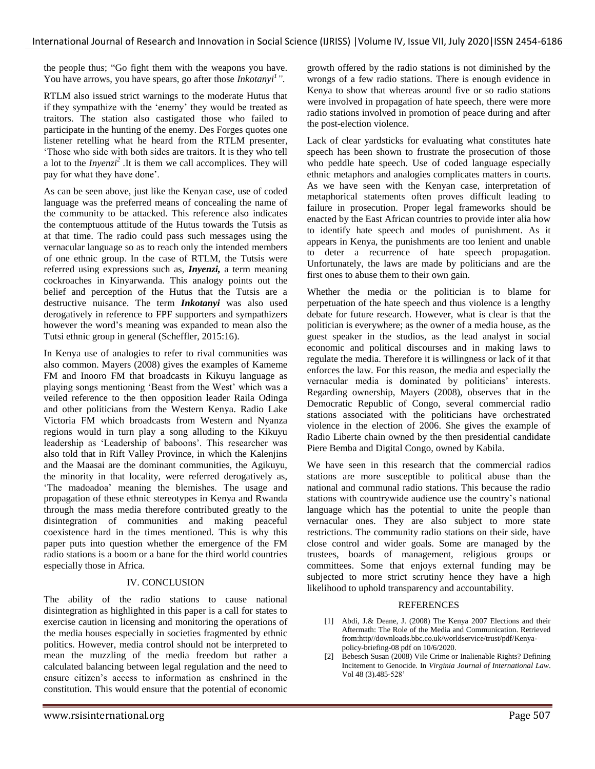the people thus; "Go fight them with the weapons you have. You have arrows, you have spears, go after those *Inkotanyi<sup>1</sup> "*.

RTLM also issued strict warnings to the moderate Hutus that if they sympathize with the 'enemy' they would be treated as traitors. The station also castigated those who failed to participate in the hunting of the enemy. Des Forges quotes one listener retelling what he heard from the RTLM presenter, "Those who side with both sides are traitors. It is they who tell a lot to the  $Inyenzi<sup>2</sup>$ . It is them we call accomplices. They will pay for what they have done'.

As can be seen above, just like the Kenyan case, use of coded language was the preferred means of concealing the name of the community to be attacked. This reference also indicates the contemptuous attitude of the Hutus towards the Tutsis as at that time. The radio could pass such messages using the vernacular language so as to reach only the intended members of one ethnic group. In the case of RTLM, the Tutsis were referred using expressions such as, *Inyenzi,* a term meaning cockroaches in Kinyarwanda. This analogy points out the belief and perception of the Hutus that the Tutsis are a destructive nuisance. The term *Inkotanyi* was also used derogatively in reference to FPF supporters and sympathizers however the word"s meaning was expanded to mean also the Tutsi ethnic group in general (Scheffler, 2015:16).

In Kenya use of analogies to refer to rival communities was also common. Mayers (2008) gives the examples of Kameme FM and Inooro FM that broadcasts in Kikuyu language as playing songs mentioning "Beast from the West" which was a veiled reference to the then opposition leader Raila Odinga and other politicians from the Western Kenya. Radio Lake Victoria FM which broadcasts from Western and Nyanza regions would in turn play a song alluding to the Kikuyu leadership as 'Leadership of baboons'. This researcher was also told that in Rift Valley Province, in which the Kalenjins and the Maasai are the dominant communities, the Agikuyu, the minority in that locality, were referred derogatively as, 'The madoadoa' meaning the blemishes. The usage and propagation of these ethnic stereotypes in Kenya and Rwanda through the mass media therefore contributed greatly to the disintegration of communities and making peaceful coexistence hard in the times mentioned. This is why this paper puts into question whether the emergence of the FM radio stations is a boom or a bane for the third world countries especially those in Africa.

# IV. CONCLUSION

The ability of the radio stations to cause national disintegration as highlighted in this paper is a call for states to exercise caution in licensing and monitoring the operations of the media houses especially in societies fragmented by ethnic politics. However, media control should not be interpreted to mean the muzzling of the media freedom but rather a calculated balancing between legal regulation and the need to ensure citizen"s access to information as enshrined in the constitution. This would ensure that the potential of economic

growth offered by the radio stations is not diminished by the wrongs of a few radio stations. There is enough evidence in Kenya to show that whereas around five or so radio stations were involved in propagation of hate speech, there were more radio stations involved in promotion of peace during and after the post-election violence.

Lack of clear yardsticks for evaluating what constitutes hate speech has been shown to frustrate the prosecution of those who peddle hate speech. Use of coded language especially ethnic metaphors and analogies complicates matters in courts. As we have seen with the Kenyan case, interpretation of metaphorical statements often proves difficult leading to failure in prosecution. Proper legal frameworks should be enacted by the East African countries to provide inter alia how to identify hate speech and modes of punishment. As it appears in Kenya, the punishments are too lenient and unable to deter a recurrence of hate speech propagation. Unfortunately, the laws are made by politicians and are the first ones to abuse them to their own gain.

Whether the media or the politician is to blame for perpetuation of the hate speech and thus violence is a lengthy debate for future research. However, what is clear is that the politician is everywhere; as the owner of a media house, as the guest speaker in the studios, as the lead analyst in social economic and political discourses and in making laws to regulate the media. Therefore it is willingness or lack of it that enforces the law. For this reason, the media and especially the vernacular media is dominated by politicians' interests. Regarding ownership, Mayers (2008), observes that in the Democratic Republic of Congo, several commercial radio stations associated with the politicians have orchestrated violence in the election of 2006. She gives the example of Radio Liberte chain owned by the then presidential candidate Piere Bemba and Digital Congo, owned by Kabila.

We have seen in this research that the commercial radios stations are more susceptible to political abuse than the national and communal radio stations. This because the radio stations with countrywide audience use the country"s national language which has the potential to unite the people than vernacular ones. They are also subject to more state restrictions. The community radio stations on their side, have close control and wider goals. Some are managed by the trustees, boards of management, religious groups or committees. Some that enjoys external funding may be subjected to more strict scrutiny hence they have a high likelihood to uphold transparency and accountability.

# REFERENCES

- [1] Abdi, J.& Deane, J. (2008) The Kenya 2007 Elections and their Aftermath: The Role of the Media and Communication. Retrieved from:http//downloads.bbc.co.uk/worldservice/trust/pdf/Kenyapolicy-briefing-08 pdf on 10/6/2020.
- [2] Bebesch Susan (2008) Vile Crime or Inalienable Rights? Defining Incitement to Genocide. In *Virginia Journal of International Law*. Vol 48 (3).485-528'